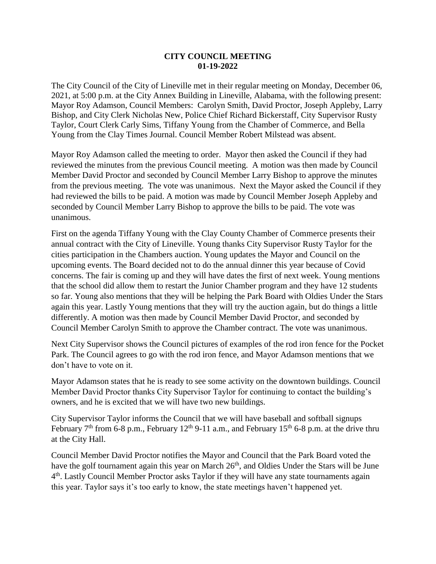## **CITY COUNCIL MEETING 01-19-2022**

The City Council of the City of Lineville met in their regular meeting on Monday, December 06, 2021, at 5:00 p.m. at the City Annex Building in Lineville, Alabama, with the following present: Mayor Roy Adamson, Council Members: Carolyn Smith, David Proctor, Joseph Appleby, Larry Bishop, and City Clerk Nicholas New, Police Chief Richard Bickerstaff, City Supervisor Rusty Taylor, Court Clerk Carly Sims, Tiffany Young from the Chamber of Commerce, and Bella Young from the Clay Times Journal. Council Member Robert Milstead was absent.

Mayor Roy Adamson called the meeting to order. Mayor then asked the Council if they had reviewed the minutes from the previous Council meeting. A motion was then made by Council Member David Proctor and seconded by Council Member Larry Bishop to approve the minutes from the previous meeting. The vote was unanimous. Next the Mayor asked the Council if they had reviewed the bills to be paid. A motion was made by Council Member Joseph Appleby and seconded by Council Member Larry Bishop to approve the bills to be paid. The vote was unanimous.

First on the agenda Tiffany Young with the Clay County Chamber of Commerce presents their annual contract with the City of Lineville. Young thanks City Supervisor Rusty Taylor for the cities participation in the Chambers auction. Young updates the Mayor and Council on the upcoming events. The Board decided not to do the annual dinner this year because of Covid concerns. The fair is coming up and they will have dates the first of next week. Young mentions that the school did allow them to restart the Junior Chamber program and they have 12 students so far. Young also mentions that they will be helping the Park Board with Oldies Under the Stars again this year. Lastly Young mentions that they will try the auction again, but do things a little differently. A motion was then made by Council Member David Proctor, and seconded by Council Member Carolyn Smith to approve the Chamber contract. The vote was unanimous.

Next City Supervisor shows the Council pictures of examples of the rod iron fence for the Pocket Park. The Council agrees to go with the rod iron fence, and Mayor Adamson mentions that we don't have to vote on it.

Mayor Adamson states that he is ready to see some activity on the downtown buildings. Council Member David Proctor thanks City Supervisor Taylor for continuing to contact the building's owners, and he is excited that we will have two new buildings.

City Supervisor Taylor informs the Council that we will have baseball and softball signups February  $7<sup>th</sup>$  from 6-8 p.m., February 12<sup>th</sup> 9-11 a.m., and February 15<sup>th</sup> 6-8 p.m. at the drive thru at the City Hall.

Council Member David Proctor notifies the Mayor and Council that the Park Board voted the have the golf tournament again this year on March 26<sup>th</sup>, and Oldies Under the Stars will be June 4<sup>th</sup>. Lastly Council Member Proctor asks Taylor if they will have any state tournaments again this year. Taylor says it's too early to know, the state meetings haven't happened yet.